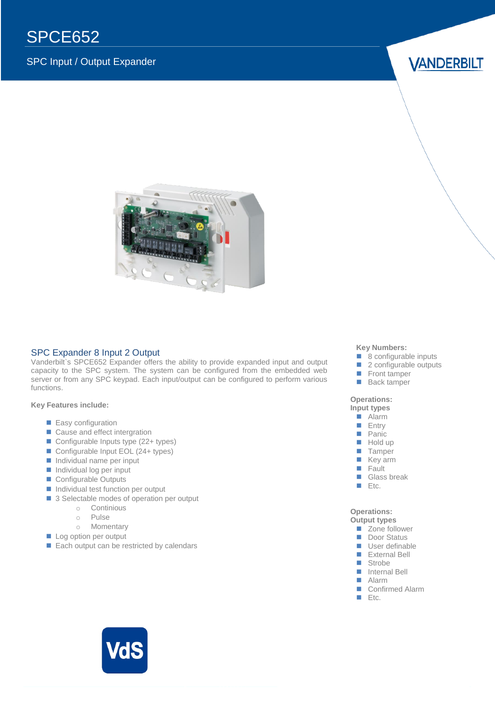# SPCE652

### SPC Input / Output Expander

### **VANDERBILT**



#### SPC Expander 8 Input 2 Output  $\mathbf{u}$

Vanderbilt`s SPCE652 Expander offers the ability to provide expanded input and output capacity to the SPC system. The system can be configured from the embedded web server or from any SPC keypad. Each input/output can be configured to perform various functions.

#### **Key Features include:**

- **Easy configuration**
- Cause and effect intergration
- Configurable Inputs type (22+ types)
- Configurable Input EOL (24+ types)
- $\blacksquare$  Individual name per input
- $\blacksquare$  Individual log per input
- Configurable Outputs
- Individual test function per output
- 3 Selectable modes of operation per output
	- o Continious
	- o Pulse
	- o Momentary
- Log option per output
- Each output can be restricted by calendars

#### **Key Numbers:**

- 8 configurable inputs
- 2 configurable outputs<br>■ Front tamper
- Front tamper
- **Back tamper**

#### **Operations:**

**Input types** Alarm

- $E$  Entry
- **Panic**
- Hold up
- **Tamper**
- **Key arm**
- **Fault**<br>**B** Glass
- Glass break
- $E$ tc.

**Operations: Output types**

- Zone follower
- Door Status
- User definable
- External Bell
- Strobe
- **Internal Bell**
- **Alarm**
- Confirmed Alarm
- $E$ tc.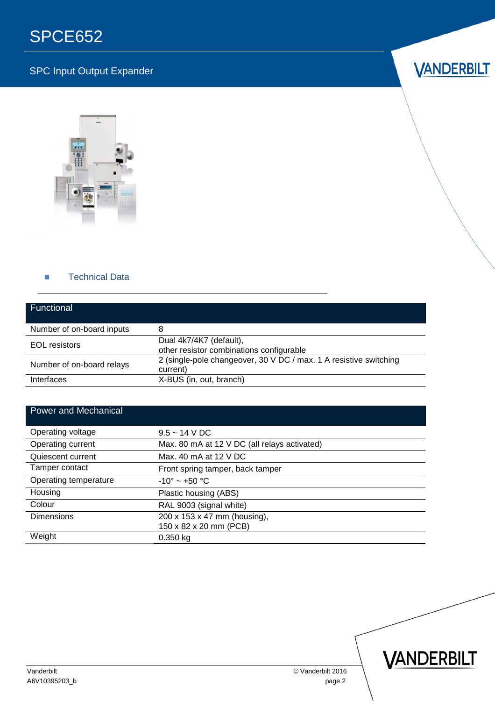### SPC Input Output Expander

## **VANDERBILT**



#### **Technical Data**

| <b>Functional</b>         |                                                                               |
|---------------------------|-------------------------------------------------------------------------------|
| Number of on-board inputs | 8                                                                             |
| <b>EOL</b> resistors      | Dual 4k7/4K7 (default),<br>other resistor combinations configurable           |
| Number of on-board relays | 2 (single-pole changeover, 30 V DC / max. 1 A resistive switching<br>current) |
| Interfaces                | X-BUS (in, out, branch)                                                       |

### Power and Mechanical

| Operating voltage     | $9.5 - 14$ V DC                              |
|-----------------------|----------------------------------------------|
| Operating current     | Max. 80 mA at 12 V DC (all relays activated) |
| Quiescent current     | Max. 40 mA at 12 V DC                        |
| Tamper contact        | Front spring tamper, back tamper             |
| Operating temperature | $-10^{\circ}$ ~ +50 °C                       |
| Housing               | Plastic housing (ABS)                        |
| Colour                | RAL 9003 (signal white)                      |
| <b>Dimensions</b>     | 200 x 153 x 47 mm (housing),                 |
|                       | 150 x 82 x 20 mm (PCB)                       |
| Weight                | $0.350$ kg                                   |
|                       |                                              |

VANDERBILT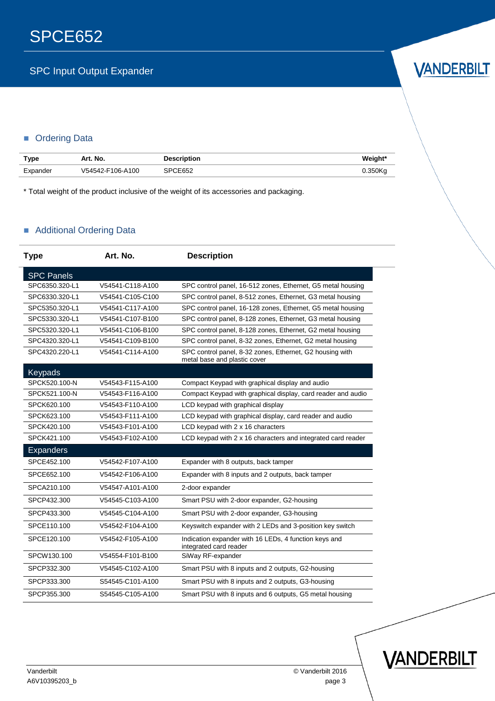# **VANDERBILT**

### **C**rdering Data

| Type     | Art. No.         | <b>Description</b> | Weight* |
|----------|------------------|--------------------|---------|
| Expander | V54542-F106-A100 | SPCE652            | 0.350Ka |

\* Total weight of the product inclusive of the weight of its accessories and packaging.

### Additional Ordering Data

| <b>Type</b>       | Art. No.         | <b>Description</b>                                                                       |  |
|-------------------|------------------|------------------------------------------------------------------------------------------|--|
| <b>SPC Panels</b> |                  |                                                                                          |  |
| SPC6350.320-L1    | V54541-C118-A100 | SPC control panel, 16-512 zones, Ethernet, G5 metal housing                              |  |
| SPC6330.320-L1    | V54541-C105-C100 | SPC control panel, 8-512 zones, Ethernet, G3 metal housing                               |  |
| SPC5350.320-L1    | V54541-C117-A100 | SPC control panel, 16-128 zones, Ethernet, G5 metal housing                              |  |
| SPC5330.320-L1    | V54541-C107-B100 | SPC control panel, 8-128 zones, Ethernet, G3 metal housing                               |  |
| SPC5320.320-L1    | V54541-C106-B100 | SPC control panel, 8-128 zones, Ethernet, G2 metal housing                               |  |
| SPC4320.320-L1    | V54541-C109-B100 | SPC control panel, 8-32 zones, Ethernet, G2 metal housing                                |  |
| SPC4320.220-L1    | V54541-C114-A100 | SPC control panel, 8-32 zones, Ethernet, G2 housing with<br>metal base and plastic cover |  |
| Keypads           |                  |                                                                                          |  |
| SPCK520.100-N     | V54543-F115-A100 | Compact Keypad with graphical display and audio                                          |  |
| SPCK521.100-N     | V54543-F116-A100 | Compact Keypad with graphical display, card reader and audio                             |  |
| SPCK620.100       | V54543-F110-A100 | LCD keypad with graphical display                                                        |  |
| SPCK623.100       | V54543-F111-A100 | LCD keypad with graphical display, card reader and audio                                 |  |
| SPCK420.100       | V54543-F101-A100 | LCD keypad with 2 x 16 characters                                                        |  |
| SPCK421.100       | V54543-F102-A100 | LCD keypad with 2 x 16 characters and integrated card reader                             |  |
| <b>Expanders</b>  |                  |                                                                                          |  |
| SPCE452.100       | V54542-F107-A100 | Expander with 8 outputs, back tamper                                                     |  |
| SPCE652.100       | V54542-F106-A100 | Expander with 8 inputs and 2 outputs, back tamper                                        |  |
| SPCA210.100       | V54547-A101-A100 | 2-door expander                                                                          |  |
| SPCP432.300       | V54545-C103-A100 | Smart PSU with 2-door expander, G2-housing                                               |  |
| SPCP433.300       | V54545-C104-A100 | Smart PSU with 2-door expander, G3-housing                                               |  |
| SPCE110.100       | V54542-F104-A100 | Keyswitch expander with 2 LEDs and 3-position key switch                                 |  |
| SPCE120.100       | V54542-F105-A100 | Indication expander with 16 LEDs, 4 function keys and<br>integrated card reader          |  |
| SPCW130.100       | V54554-F101-B100 | SiWay RF-expander                                                                        |  |
| SPCP332.300       | V54545-C102-A100 | Smart PSU with 8 inputs and 2 outputs, G2-housing                                        |  |
| SPCP333.300       | S54545-C101-A100 | Smart PSU with 8 inputs and 2 outputs, G3-housing                                        |  |
| SPCP355.300       | S54545-C105-A100 | Smart PSU with 8 inputs and 6 outputs, G5 metal housing                                  |  |

Vanderbilt © Vanderbilt 2016 A6V10395203\_b page 3

VANDERBILT